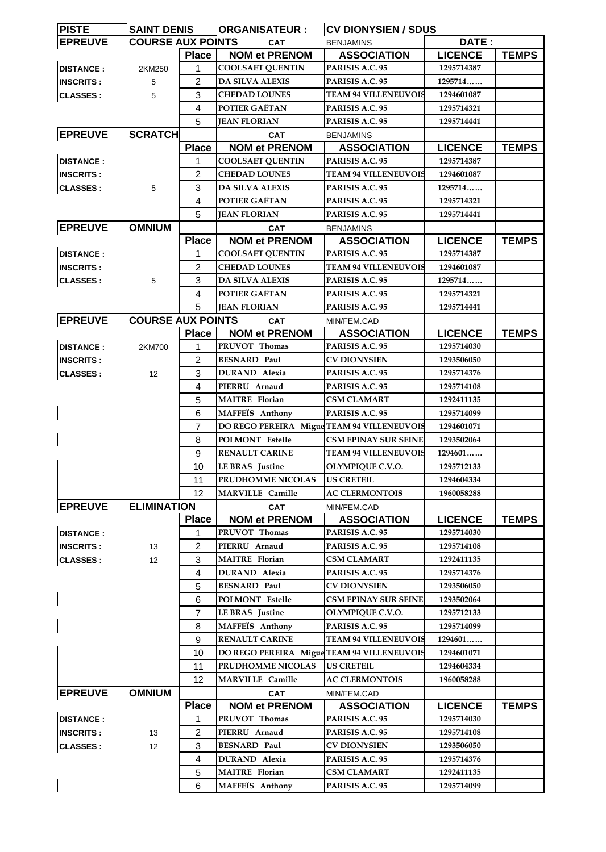| <b>PISTE</b>     | <b>SAINT DENIS</b>       |                | <b>ORGANISATEUR:</b>                       | <b>CV DIONYSIEN / SDUS</b>  |                |              |
|------------------|--------------------------|----------------|--------------------------------------------|-----------------------------|----------------|--------------|
| <b>EPREUVE</b>   | <b>COURSE AUX POINTS</b> |                | <b>CAT</b>                                 | <b>BENJAMINS</b>            | DATE:          |              |
|                  |                          | <b>Place</b>   | <b>NOM et PRENOM</b>                       | <b>ASSOCIATION</b>          | <b>LICENCE</b> | <b>TEMPS</b> |
| <b>DISTANCE:</b> | 2KM250                   | 1              | <b>COOLSAET QUENTIN</b>                    | PARISIS A.C. 95             | 1295714387     |              |
| <b>INSCRITS:</b> | 5                        | 2              | <b>DA SILVA ALEXIS</b>                     | <b>PARISIS A.C. 95</b>      | 1295714        |              |
| <b>CLASSES:</b>  | 5                        | 3              | <b>CHEDAD LOUNES</b>                       | <b>TEAM 94 VILLENEUVOIS</b> | 1294601087     |              |
|                  |                          | 4              | POTIER GAËTAN                              | PARISIS A.C. 95             | 1295714321     |              |
|                  |                          | 5              | <b>JEAN FLORIAN</b>                        | PARISIS A.C. 95             | 1295714441     |              |
| <b>EPREUVE</b>   | <b>SCRATCH</b>           |                | <b>CAT</b>                                 | <b>BENJAMINS</b>            |                |              |
|                  |                          | <b>Place</b>   | <b>NOM et PRENOM</b>                       | <b>ASSOCIATION</b>          | <b>LICENCE</b> | <b>TEMPS</b> |
| <b>DISTANCE:</b> |                          | 1              | <b>COOLSAET QUENTIN</b>                    | <b>PARISIS A.C. 95</b>      | 1295714387     |              |
| <b>INSCRITS:</b> |                          | $\overline{2}$ | <b>CHEDAD LOUNES</b>                       | <b>TEAM 94 VILLENEUVOIS</b> | 1294601087     |              |
| <b>CLASSES:</b>  | 5                        | 3              | <b>DA SILVA ALEXIS</b>                     | PARISIS A.C. 95             | 1295714        |              |
|                  |                          | 4              | POTIER GAËTAN                              | PARISIS A.C. 95             | 1295714321     |              |
|                  |                          | 5              | <b>JEAN FLORIAN</b>                        | PARISIS A.C. 95             | 1295714441     |              |
| <b>EPREUVE</b>   | <b>OMNIUM</b>            |                | <b>CAT</b>                                 | <b>BENJAMINS</b>            |                |              |
|                  |                          | <b>Place</b>   | <b>NOM et PRENOM</b>                       | <b>ASSOCIATION</b>          | <b>LICENCE</b> | <b>TEMPS</b> |
| <b>DISTANCE:</b> |                          | 1              | <b>COOLSAET QUENTIN</b>                    | PARISIS A.C. 95             | 1295714387     |              |
| <b>INSCRITS:</b> |                          | $\overline{2}$ | <b>CHEDAD LOUNES</b>                       | <b>TEAM 94 VILLENEUVOIS</b> | 1294601087     |              |
| <b>CLASSES:</b>  | 5                        | 3              | <b>DA SILVA ALEXIS</b>                     | PARISIS A.C. 95             | 1295714        |              |
|                  |                          | 4              | POTIER GAËTAN                              | <b>PARISIS A.C. 95</b>      | 1295714321     |              |
|                  |                          | 5              | <b>JEAN FLORIAN</b>                        | PARISIS A.C. 95             | 1295714441     |              |
| <b>EPREUVE</b>   | <b>COURSE AUX POINTS</b> |                | <b>CAT</b>                                 | MIN/FEM.CAD                 |                |              |
|                  |                          | <b>Place</b>   | <b>NOM et PRENOM</b>                       | <b>ASSOCIATION</b>          | <b>LICENCE</b> | <b>TEMPS</b> |
| <b>DISTANCE:</b> | 2KM700                   | 1              | PRUVOT Thomas                              | PARISIS A.C. 95             | 1295714030     |              |
| <b>INSCRITS:</b> |                          | $\overline{2}$ | <b>BESNARD Paul</b>                        | <b>CV DIONYSIEN</b>         | 1293506050     |              |
| <b>CLASSES:</b>  | 12                       | 3              | <b>DURAND</b> Alexia                       | PARISIS A.C. 95             | 1295714376     |              |
|                  |                          | 4              | PIERRU Arnaud                              | PARISIS A.C. 95             | 1295714108     |              |
|                  |                          |                | <b>MAITRE Florian</b>                      |                             |                |              |
|                  |                          | 5              |                                            | CSM CLAMART                 | 1292411135     |              |
|                  |                          | 6              | <b>MAFFEÏS</b> Anthony                     | PARISIS A.C. 95             | 1295714099     |              |
|                  |                          | 7              | DO REGO PEREIRA Migue TEAM 94 VILLENEUVOIS |                             | 1294601071     |              |
|                  |                          | 8              | POLMONT Estelle<br><b>RENAULT CARINE</b>   | <b>CSM EPINAY SUR SEINE</b> | 1293502064     |              |
|                  |                          | 9              |                                            | <b>TEAM 94 VILLENEUVOIS</b> | 1294601        |              |
|                  |                          | 10             | <b>LE BRAS</b> Justine                     | OLYMPIQUE C.V.O.            | 1295712133     |              |
|                  |                          | 11             | PRUDHOMME NICOLAS US CRETEIL               |                             | 1294604334     |              |
|                  |                          | 12             | <b>MARVILLE Camille</b>                    | <b>AC CLERMONTOIS</b>       | 1960058288     |              |
| <b>EPREUVE</b>   | <b>ELIMINATION</b>       |                | CAT                                        | MIN/FEM.CAD                 |                |              |
|                  |                          | <b>Place</b>   | <b>NOM et PRENOM</b>                       | <b>ASSOCIATION</b>          | <b>LICENCE</b> | <b>TEMPS</b> |
| <b>DISTANCE:</b> |                          | 1              | PRUVOT Thomas                              | PARISIS A.C. 95             | 1295714030     |              |
| <b>INSCRITS:</b> | 13                       | 2              | PIERRU Arnaud                              | PARISIS A.C. 95             | 1295714108     |              |
| <b>CLASSES:</b>  | 12                       | 3              | <b>MAITRE</b> Florian                      | CSM CLAMART                 | 1292411135     |              |
|                  |                          | 4              | <b>DURAND</b> Alexia                       | PARISIS A.C. 95             | 1295714376     |              |
|                  |                          | 5              | <b>BESNARD Paul</b>                        | <b>CV DIONYSIEN</b>         | 1293506050     |              |
|                  |                          | 6              | POLMONT Estelle                            | <b>CSM EPINAY SUR SEINE</b> | 1293502064     |              |
|                  |                          | 7              | <b>LE BRAS</b> Justine                     | OLYMPIQUE C.V.O.            | 1295712133     |              |
|                  |                          | 8              | <b>MAFFEIS</b> Anthony                     | PARISIS A.C. 95             | 1295714099     |              |
|                  |                          | 9              | <b>RENAULT CARINE</b>                      | <b>TEAM 94 VILLENEUVOIS</b> | <b>1294601</b> |              |
|                  |                          | 10             | DO REGO PEREIRA Migue TEAM 94 VILLENEUVOIS |                             | 1294601071     |              |
|                  |                          | 11             | PRUDHOMME NICOLAS                          | <b>US CRETEIL</b>           | 1294604334     |              |
|                  |                          | 12             | <b>MARVILLE Camille</b>                    | <b>AC CLERMONTOIS</b>       | 1960058288     |              |
| <b>EPREUVE</b>   | <b>OMNIUM</b>            |                | <b>CAT</b>                                 | MIN/FEM.CAD                 |                |              |
|                  |                          | <b>Place</b>   | <b>NOM et PRENOM</b>                       | <b>ASSOCIATION</b>          | <b>LICENCE</b> | <b>TEMPS</b> |
| <b>DISTANCE:</b> |                          | 1              | PRUVOT Thomas                              | PARISIS A.C. 95             | 1295714030     |              |
| <b>INSCRITS:</b> | 13                       | 2              | PIERRU Arnaud                              | PARISIS A.C. 95             | 1295714108     |              |
| <b>CLASSES:</b>  | $12 \overline{ }$        | 3              | <b>BESNARD Paul</b>                        | <b>CV DIONYSIEN</b>         | 1293506050     |              |
|                  |                          | 4              | DURAND Alexia                              | <b>PARISIS A.C. 95</b>      | 1295714376     |              |
|                  |                          | 5              | <b>MAITRE</b> Florian                      | CSM CLAMART                 | 1292411135     |              |
|                  |                          | 6              | <b>MAFFEIS</b> Anthony                     | PARISIS A.C. 95             | 1295714099     |              |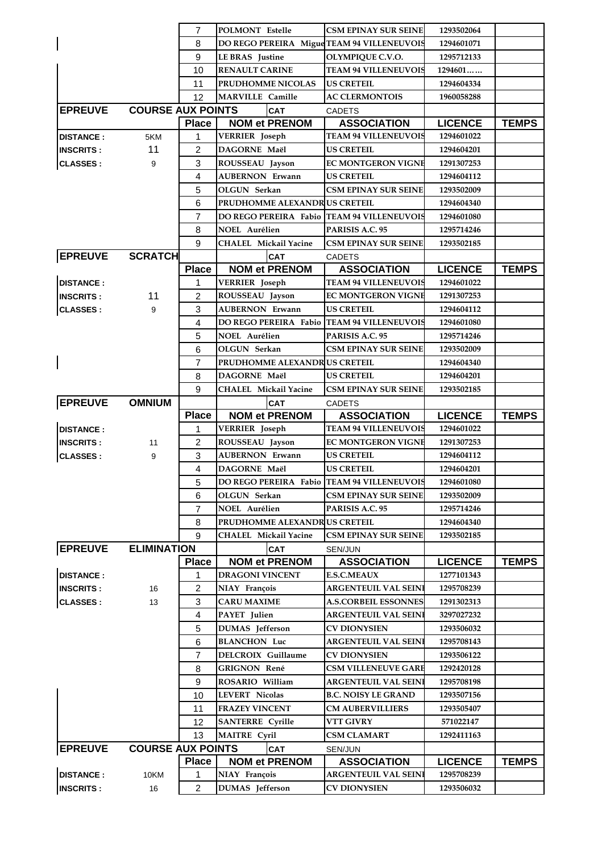|                                      |                          | 7                   | POLMONT Estelle                            | <b>CSM EPINAY SUR SEINE</b>                        | 1293502064               |              |
|--------------------------------------|--------------------------|---------------------|--------------------------------------------|----------------------------------------------------|--------------------------|--------------|
|                                      |                          | 8                   | DO REGO PEREIRA Migue TEAM 94 VILLENEUVOIS |                                                    | 1294601071               |              |
|                                      |                          | 9                   | <b>LE BRAS</b> Justine                     | OLYMPIQUE C.V.O.                                   | 1295712133               |              |
|                                      |                          | 10                  | <b>RENAULT CARINE</b>                      | <b>TEAM 94 VILLENEUVOIS</b>                        | 1294601                  |              |
|                                      |                          | 11                  | PRUDHOMME NICOLAS                          | <b>US CRETEIL</b>                                  | 1294604334               |              |
|                                      |                          | 12                  | <b>MARVILLE Camille</b>                    | <b>AC CLERMONTOIS</b>                              | 1960058288               |              |
| <b>EPREUVE</b>                       | <b>COURSE AUX POINTS</b> |                     | <b>CAT</b>                                 | <b>CADETS</b>                                      |                          |              |
|                                      |                          | <b>Place</b>        | <b>NOM et PRENOM</b>                       | <b>ASSOCIATION</b>                                 | <b>LICENCE</b>           | <b>TEMPS</b> |
| <b>DISTANCE:</b>                     | 5KM                      | 1                   | VERRIER Joseph                             | <b>TEAM 94 VILLENEUVOIS</b>                        | 1294601022               |              |
| <b>INSCRITS:</b>                     | 11                       | 2                   | DAGORNE Maël                               | <b>US CRETEIL</b>                                  | 1294604201               |              |
| <b>CLASSES:</b>                      | 9                        | 3                   | ROUSSEAU Jayson                            | <b>EC MONTGERON VIGNE</b>                          | 1291307253               |              |
|                                      |                          | 4                   | <b>AUBERNON Erwann</b>                     | <b>US CRETEIL</b>                                  | 1294604112               |              |
|                                      |                          | 5                   | OLGUN Serkan                               | <b>CSM EPINAY SUR SEINE</b>                        | 1293502009               |              |
|                                      |                          | 6                   | PRUDHOMME ALEXANDRUS CRETEIL               |                                                    | 1294604340               |              |
|                                      |                          | $\overline{7}$      | <b>DO REGO PEREIRA Fabio</b>               | <b>TEAM 94 VILLENEUVOIS</b>                        | 1294601080               |              |
|                                      |                          | 8                   | NOEL Aurélien                              | PARISIS A.C. 95                                    | 1295714246               |              |
|                                      |                          | 9                   | <b>CHALEL Mickail Yacine</b>               | <b>CSM EPINAY SUR SEINE</b>                        | 1293502185               |              |
| <b>EPREUVE</b>                       | <b>SCRATCH</b>           |                     | <b>CAT</b>                                 | <b>CADETS</b>                                      |                          |              |
|                                      |                          | <b>Place</b>        | <b>NOM et PRENOM</b>                       | <b>ASSOCIATION</b>                                 | <b>LICENCE</b>           | <b>TEMPS</b> |
| <b>DISTANCE:</b>                     |                          | 1                   | VERRIER Joseph                             | <b>TEAM 94 VILLENEUVOIS</b>                        | 1294601022               |              |
| <b>INSCRITS:</b>                     | 11                       | 2                   | ROUSSEAU Jayson                            | <b>EC MONTGERON VIGNE</b>                          | 1291307253               |              |
| <b>CLASSES:</b>                      | 9                        | 3                   | <b>AUBERNON Erwann</b>                     | <b>US CRETEIL</b>                                  | 1294604112               |              |
|                                      |                          | 4                   | <b>DO REGO PEREIRA Fabio</b>               | <b>TEAM 94 VILLENEUVOIS</b>                        | 1294601080               |              |
|                                      |                          | 5                   | NOEL Aurélien                              | PARISIS A.C. 95                                    | 1295714246               |              |
|                                      |                          | 6                   | OLGUN Serkan                               | <b>CSM EPINAY SUR SEINE</b>                        | 1293502009               |              |
|                                      |                          | 7                   | PRUDHOMME ALEXANDRUS CRETEIL               |                                                    | 1294604340               |              |
|                                      |                          | 8                   | DAGORNE Maël                               | <b>US CRETEIL</b>                                  | 1294604201               |              |
|                                      |                          | 9                   | <b>CHALEL Mickail Yacine</b>               | <b>CSM EPINAY SUR SEINE</b>                        | 1293502185               |              |
| <b>EPREUVE</b>                       | <b>OMNIUM</b>            |                     | <b>CAT</b>                                 | <b>CADETS</b>                                      |                          |              |
|                                      |                          | <b>Place</b>        | <b>NOM et PRENOM</b>                       | <b>ASSOCIATION</b>                                 | <b>LICENCE</b>           | <b>TEMPS</b> |
| <b>DISTANCE:</b>                     |                          | 1                   | <b>VERRIER</b> Joseph                      | <b>TEAM 94 VILLENEUVOIS</b>                        | 1294601022               |              |
| <b>INSCRITS:</b>                     | 11                       | $\overline{c}$      | ROUSSEAU Jayson                            | <b>EC MONTGERON VIGNE</b>                          | 1291307253               |              |
|                                      |                          | 3                   | <b>AUBERNON Erwann</b>                     | <b>US CRETEIL</b>                                  | 1294604112               |              |
| <b>CLASSES:</b>                      | 9                        |                     |                                            |                                                    |                          |              |
|                                      |                          | $\overline{4}$      | DAGORNE Maël                               | <b>US CRETEIL</b>                                  | 1294604201               |              |
|                                      |                          | 5                   | DO REGO PEREIRA Fabio TEAM 94 VILLENEUVOIS |                                                    | 1294601080               |              |
|                                      |                          | 6                   | OLGUN Serkan                               | <b>CSM EPINAY SUR SEINE</b>                        | 1293502009               |              |
|                                      |                          | 7                   | <b>NOEL Aurélien</b>                       | PARISIS A.C. 95                                    | 1295714246               |              |
|                                      |                          | 8                   | <b>PRUDHOMME ALEXANDRUS CRETEIL</b>        |                                                    | 1294604340               |              |
|                                      |                          | 9                   | <b>CHALEL Mickail Yacine</b>               | <b>CSM EPINAY SUR SEINE</b>                        | 1293502185               |              |
| <b>EPREUVE</b>                       | <b>ELIMINATION</b>       |                     | CAT                                        | SEN/JUN                                            |                          |              |
|                                      |                          | <b>Place</b>        | <b>NOM et PRENOM</b>                       | <b>ASSOCIATION</b>                                 | <b>LICENCE</b>           | <b>TEMPS</b> |
| <b>DISTANCE:</b>                     |                          | 1                   | <b>DRAGONI VINCENT</b>                     | <b>E.S.C.MEAUX</b>                                 | 1277101343               |              |
| <b>INSCRITS:</b>                     | 16                       | $\overline{2}$      | NIAY François                              | <b>ARGENTEUIL VAL SEINI</b>                        | 1295708239               |              |
| <b>CLASSES:</b>                      | 13                       | 3                   | <b>CARU MAXIME</b>                         | <b>A.S.CORBEIL ESSONNES</b>                        | 1291302313               |              |
|                                      |                          | 4                   | PAYET Julien                               | <b>ARGENTEUIL VAL SEINI</b>                        | 3297027232               |              |
|                                      |                          | 5                   | <b>DUMAS</b> Jefferson                     | CV DIONYSIEN                                       | 1293506032               |              |
|                                      |                          | 6                   | <b>BLANCHON Luc</b>                        | <b>ARGENTEUIL VAL SEINI</b>                        | 1295708143               |              |
|                                      |                          | $\overline{7}$      | DELCROIX Guillaume                         | <b>CV DIONYSIEN</b>                                | 1293506122               |              |
|                                      |                          | 8                   | <b>GRIGNON René</b>                        | <b>CSM VILLENEUVE GARE</b>                         | 1292420128               |              |
|                                      |                          | 9                   | ROSARIO William                            | <b>ARGENTEUIL VAL SEINI</b>                        | 1295708198               |              |
|                                      |                          | 10                  | <b>LEVERT Nicolas</b>                      | <b>B.C. NOISY LE GRAND</b>                         | 1293507156               |              |
|                                      |                          | 11                  | <b>FRAZEY VINCENT</b>                      | <b>CM AUBERVILLIERS</b>                            | 1293505407               |              |
|                                      |                          | 12                  | <b>SANTERRE</b> Cyrille                    | VTT GIVRY                                          | 571022147                |              |
|                                      |                          | 13                  | <b>MAITRE Cyril</b>                        | <b>CSM CLAMART</b>                                 | 1292411163               |              |
| <b>EPREUVE</b>                       | <b>COURSE AUX POINTS</b> |                     | <b>CAT</b>                                 | SEN/JUN                                            |                          |              |
|                                      |                          | <b>Place</b>        | <b>NOM et PRENOM</b>                       | <b>ASSOCIATION</b>                                 | <b>LICENCE</b>           | <b>TEMPS</b> |
| <b>DISTANCE:</b><br><b>INSCRITS:</b> | 10KM<br>16               | 1<br>$\overline{2}$ | NIAY François<br>DUMAS Jefferson           | <b>ARGENTEUIL VAL SEINI</b><br><b>CV DIONYSIEN</b> | 1295708239<br>1293506032 |              |